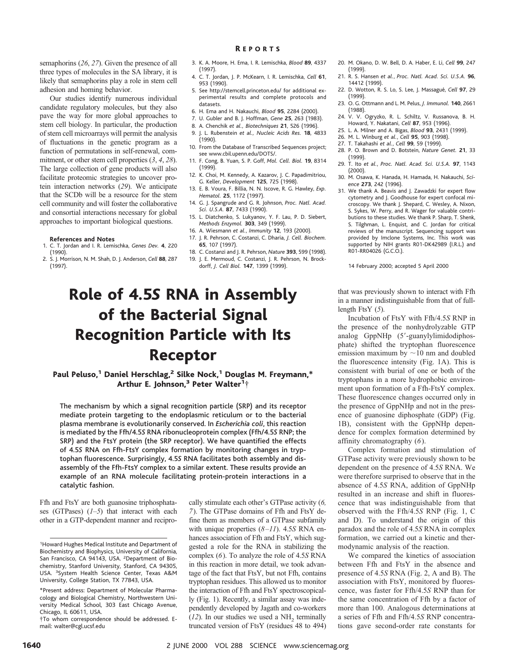semaphorins (*26*, *27*). Given the presence of all three types of molecules in the SA library, it is likely that semaphorins play a role in stem cell adhesion and homing behavior.

Our studies identify numerous individual candidate regulatory molecules, but they also pave the way for more global approaches to stem cell biology. In particular, the production of stem cell microarrays will permit the analysis of fluctuations in the genetic program as a function of permutations in self-renewal, commitment, or other stem cell properties (*3*, *4*, *28*). The large collection of gene products will also facilitate proteomic strategies to uncover protein interaction networks (*29*). We anticipate that the SCDb will be a resource for the stem cell community and will foster the collaborative and consortial interactions necessary for global approaches to important biological questions.

#### **References and Notes**

- 1. C. T. Jordan and I. R. Lemischka, *Genes Dev.* **4**, 220 (1990).
- 2. S. J. Morrison, N. M. Shah, D. J. Anderson, *Cell* **88**, 287 (1997).
- 3. K. A. Moore, H. Ema, I. R. Lemischka, *Blood* **89**, 4337 (1997).
- 4. C. T. Jordan, J. P. McKearn, I. R. Lemischka, *Cell* **61**, 953 (1990).
- 5. See http://stemcell.princeton.edu/ for additional experimental results and complete protocols and datasets.
- 6. H. Ema and H. Nakauchi, *Blood* **95**, 2284 (2000).
- 7. U. Gubler and B. J. Hoffman, *Gene* **25**, 263 (1983).
- 8. A. Chenchik *et al., Biotechniques* **21**, 526 (1996).
- 9. J. L. Rubenstein *et al., Nucleic Acids Res.* **18**, 4833 (1990).
- 10. From the Database of Transcribed Sequences project; see www.cbil.upenn.edu/DOTS/.
- 11. F. Cong, B. Yuan, S. P. Goff, *Mol. Cell. Biol.* **19**, 8314 (1999).
- 12. K. Choi, M. Kennedy, A. Kazarov, J. C. Papadimitriou, G. Keller, *Development* **125**, 725 (1998).
- 13. E. B. Voura, F. Billia, N. N. Iscove, R. G. Hawley, *Exp. Hematol.* **25**, 1172 (1997).
- 14. G. J. Spangrude and G. R. Johnson, *Proc. Natl. Acad. Sci. U.S.A.* **87**, 7433 (1990).
- 15. L. Diatchenko, S. Lukyanov, Y. F. Lau, P. D. Siebert, *Methods Enzymol.* **303**, 349 (1999).
- 16. A. Wiesmann *et al.*, *Immunity* **12**, 193 (2000). 17. J. R. Pehrson, C. Costanzi, C. Dharia, *J. Cell. Biochem.* **65**, 107 (1997).
- 18. C. Costanzi and J. R. Pehrson, *Nature* **393**, 599 (1998).
- 19. J. E. Mermoud, C. Costanzi, J. R. Pehrson, N. Brockdorff, *J. Cell Biol.* **147**, 1399 (1999).

# Role of 4.5*S* RNA in Assembly of the Bacterial Signal Recognition Particle with Its Receptor

Paul Peluso,<sup>1</sup> Daniel Herschlag,<sup>2</sup> Silke Nock,<sup>1</sup> Douglas M. Freymann,\* Arthur E. Johnson, $^3$  Peter Walter $^1\dagger$ 

The mechanism by which a signal recognition particle (SRP) and its receptor mediate protein targeting to the endoplasmic reticulum or to the bacterial plasma membrane is evolutionarily conserved. In *Escherichia coli*, this reaction is mediated by the Ffh/4.5*S* RNA ribonucleoprotein complex (Ffh/4.5*S* RNP; the SRP) and the FtsY protein (the SRP receptor). We have quantified the effects of 4.5*S* RNA on Ffh-FtsY complex formation by monitoring changes in tryptophan fluorescence. Surprisingly, 4.5*S* RNA facilitates both assembly and disassembly of the Ffh-FtsY complex to a similar extent. These results provide an example of an RNA molecule facilitating protein-protein interactions in a catalytic fashion.

Ffh and FtsY are both guanosine triphosphatases (GTPases) (*1–5*) that interact with each other in a GTP-dependent manner and recipro-

cally stimulate each other's GTPase activity (*6, 7*). The GTPase domains of Ffh and FtsY define them as members of a GTPase subfamily with unique properties (*8–11*). 4.5*S* RNA enhances association of Ffh and FtsY, which suggested a role for the RNA in stabilizing the complex (*6*). To analyze the role of 4.5*S* RNA in this reaction in more detail, we took advantage of the fact that FtsY, but not Ffh, contains tryptophan residues. This allowed us to monitor the interaction of Ffh and FtsY spectroscopically (Fig. 1). Recently, a similar assay was independently developed by Jagath and co-workers  $(12)$ . In our studies we used a NH<sub>2</sub> terminally truncated version of FtsY (residues 48 to 494)

- 20. M. Okano, D. W. Bell, D. A. Haber, E. Li, *Cell* **99**, 247 (1999).
- 21. R. S. Hansen *et al.*, *Proc. Natl. Acad. Sci. U.S.A.* **96**, 14412 (1999).
- 22. D. Wotton, R. S. Lo, S. Lee, J. Massague´, *Cell* **97**, 29 (1999).
- 23. O. G. Ottmann and L. M. Pelus, *J. Immunol.* **140**, 2661 (1988).
- 24. V. V. Ogryzko, R. L. Schiltz, V. Russanova, B. H. Howard, Y. Nakatani, *Cell* **87**, 953 (1996).
- 25. L. A. Milner and A. Bigas, *Blood* **93**, 2431 (1999).
- 26. M. L. Winburg *et al.*, *Cell* **95**, 903 (1998).
- 27. T. Takahashi *et al.*, *Cell* **99**, 59 (1999).
- 28. P. O. Brown and D. Botstein, *Nature Genet.* **21**, 33 (1999). 29. T. Ito *et al.*, *Proc. Natl. Acad. Sci. U.S.A.* **97**, 1143
- (2000).
- 30. M. Osawa, K. Hanada, H. Hamada, H. Nakauchi, *Science* **273**, 242 (1996).
- 31. We thank A. Beavis and J. Zawadzki for expert flow cytometry and J. Goodhouse for expert confocal microscopy. We thank J. Shepard, C. Wesley, A. Nixon, S. Sykes, W. Perry, and R. Wager for valuable contributions to these studies. We thank P. Sharp, T. Shenk, S. Tilghman, L. Enquist, and C. Jordan for critical reviews of the manuscript. Sequencing support was provided by Imclone Systems, Inc. This work was supported by NIH grants R01-DK42989 (I.R.L.) and R01-RR04026 (G.C.O.).

14 February 2000; accepted 5 April 2000

that was previously shown to interact with Ffh in a manner indistinguishable from that of fulllength FtsY (*5*).

Incubation of FtsY with Ffh/4.5*S* RNP in the presence of the nonhydrolyzable GTP analog GppNHp (5'-guanylylimidodiphosphate) shifted the tryptophan fluorescence emission maximum by  $\sim$ 10 nm and doubled the fluorescence intensity (Fig. 1A). This is consistent with burial of one or both of the tryptophans in a more hydrophobic environment upon formation of a Ffh-FtsY complex. These fluorescence changes occurred only in the presence of GppNHp and not in the presence of guanosine diphosphate (GDP) (Fig. 1B), consistent with the GppNHp dependence for complex formation determined by affinity chromatography (*6*).

Complex formation and stimulation of GTPase activity were previously shown to be dependent on the presence of 4.5*S* RNA. We were therefore surprised to observe that in the absence of 4.5*S* RNA, addition of GppNHp resulted in an increase and shift in fluorescence that was indistinguishable from that observed with the Ffh/4.5*S* RNP (Fig. 1, C and D). To understand the origin of this paradox and the role of 4.5*S* RNA in complex formation, we carried out a kinetic and thermodynamic analysis of the reaction.

We compared the kinetics of association between Ffh and FtsY in the absence and presence of 4.5*S* RNA (Fig. 2, A and B). The association with FtsY, monitored by fluorescence, was faster for Ffh/4.5*S* RNP than for the same concentration of Ffh by a factor of more than 100. Analogous determinations at a series of Ffh and Ffh/4.5*S* RNP concentrations gave second-order rate constants for

### R EPORTS

<sup>1</sup> Howard Hughes Medical Institute and Department of Biochemistry and Biophysics, University of California, San Francisco, CA 94143, USA. <sup>2</sup>Department of Biochemistry, Stanford University, Stanford, CA 94305, USA. <sup>3</sup>System Health Science Center, Texas A&M University, College Station, TX 77843, USA.

<sup>\*</sup>Present address: Department of Molecular Pharmacology and Biological Chemistry, Northwestern University Medical School, 303 East Chicago Avenue, Chicago, IL 60611, USA.

<sup>†</sup>To whom correspondence should be addressed. Email: walter@cgl.ucsf.edu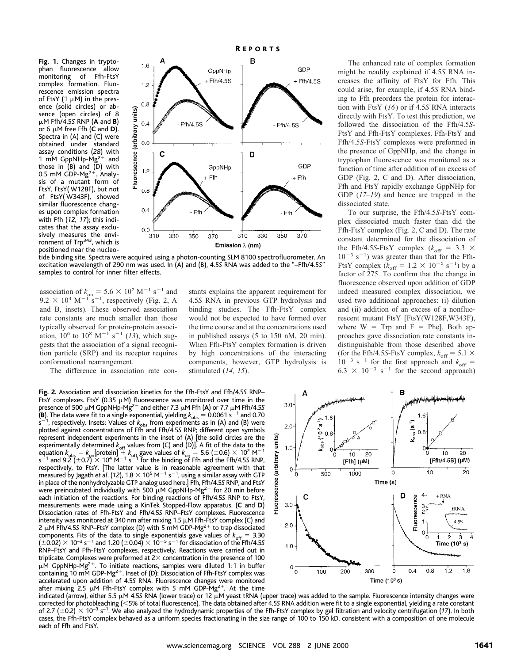**Fig. 1.** Changes in tryptophan fluorescence allow<br>monitoring of Ffh-FtsY monitoring complex formation. Fluorescence emission spectra of FtsY (1  $\mu$ M) in the presence (solid circles) or absence (open circles) of 8 mM Ffh/4.5*S* RNP (**A** and **B**) or 6  $\mu$ M free Ffh (**C** and **D**). Spectra in (A) and (C) were obtained under standard assay conditions (28) with<br>1 mM GppNHp-Mg<sup>2+</sup> and 1 mM GppNHp-Mg<sup>21</sup> those in  $(B)$  and  $(D)$  with 0.5 mM GDP- $Mg^{2+}$ . Analysis of a mutant form of FtsY, FtsY( W128F), but not of FtsY( W343F), showed similar fluorescence changes upon complex formation with Ffh (*12, 17*); this indicates that the assay exclusively measures the environment of Trp<sup>343</sup>, which is positioned near the nucleo-



tide binding site. Spectra were acquired using a photon-counting SLM 8100 spectrofluorometer. An excitation wavelength of 290 nm was used. In (A) and (B), 4.5*S* RNA was added to the "–Ffh/4.5*S*" samples to control for inner filter effects.

association of  $k_{on} = 5.6 \times 10^2 \text{ M}^{-1} \text{ s}^{-1}$  and  $9.2 \times 10^4$  M<sup>-1</sup> s<sup>-1</sup>, respectively (Fig. 2, A and B, insets). These observed association rate constants are much smaller than those typically observed for protein-protein association,  $10^6$  to  $10^8$  M<sup>-1</sup> s<sup>-1</sup> (*13*), which suggests that the association of a signal recognition particle (SRP) and its receptor requires conformational rearrangement.

The difference in association rate con-

**Fig. 2.** Association and dissociation kinetics for the Ffh-FtsY and Ffh/4.5*S* RNP– FtsY complexes. FtsY (0.35  $\mu$ M) fluorescence was monitored over time in the presence of 500  $\mu$ M GppNHp-Mg<sup>2+</sup> and either 7.3  $\mu$ M Ffh (**A**) or 7.7  $\mu$ M Ffh/4.5S **(B)**. The data were fit to a single exponential, yielding  $k_{obs} = 0.0061 s^{-1}$  and 0.70  $s^{-1}$  respectively. Insets: Values of k, from experiments as in (A) and (B) were s<sup>-1</sup>, respectively. Insets: Values of  $k_{\text{obs}}$  from experiments as in (A) and (B) were plotted against concentrations of Ffh and Ffh/4.5*S* RNP; different open symbols represent independent experiments in the inset of (A) [the solid circles are the experimentally determined  $k_{\text{off}}$  values from (C) and (D)]. A fit of the data to the equation  $k_{\text{obs}} = k_{\text{on}}$ [protein] +  $k_{\text{off}}$  gave values of  $k_{\text{on}} = 5.6$  (±0.6)  $\times$  10<sup>2</sup> M<sup>-1</sup><br>s<sup>-1</sup> and 9.2 (±0.7)  $\times$  10<sup>4</sup> respectively, to FtsY. [The latter value is in reasonable agreement with that measured by Jagath *et al.* (12), 1.8  $\times$  10<sup>5</sup> M $^{-1}$  s $^{-1}$ , using a similar assay with GTP in place of the nonhydrolyzable GTP analog used here.] Ffh, Ffh/4.5*S* RNP, and FtsY were preincubated individually with 500  $\mu$ M GppNHp-Mg<sup>2+</sup> for 20 min before each initiation of the reactions. For binding reactions of Ffh/4.5*S* RNP to FtsY, measurements were made using a KinTek Stopped-Flow apparatus. (**C** and **D**) Dissociation rates of Ffh-FtsY and Ffh/4.5*S* RNP–FtsY complexes. Fluorescence intensity was monitored at 340 nm after mixing 1.5  $\mu$ M Ffh-FtsY complex (C) and 2  $\mu$ M Ffh/4.55 RNP–FtsY complex (D) with 5 mM GDP-Mg<sup>2+</sup> to trap dissociated components. Fits of the data to single exponentials gave values of  $k_{\rm off} = 3.30$ <br>(±0.02)  $\times$  10<sup>-3</sup> s<sup>-1</sup> and 1.20 (±0.04)  $\times$  10<sup>-5</sup> s<sup>-1</sup> for dissociation of the Ffh/4.5*S* RNP–FtsY and Ffh-FtsY complexes, respectively. Reactions were carried out in triplicate. Complexes were preformed at  $2\times$  concentration in the presence of 100  $\mu$ M GppNHp-Mg<sup>2+</sup>. To initiate reactions, samples were diluted 1:1 in buffer containing 10 mM GDP-Mg<sup>2+</sup>. Inset of (D): Dissociation of Ffh-FtsY complex was accelerated upon addition of 4.5*S* RNA. Fluorescence changes were monitored after mixing 2.5  $\mu$ M Ffh-FtsY complex with 5 mM GDP-Mg<sup>2+</sup>. At the time

stants explains the apparent requirement for 4.5*S* RNA in previous GTP hydrolysis and binding studies. The Ffh-FtsY complex would not be expected to have formed over the time course and at the concentrations used in published assays (5 to 150 nM, 20 min). When Ffh-FtsY complex formation is driven by high concentrations of the interacting components, however, GTP hydrolysis is stimulated (*14, 15*).

The enhanced rate of complex formation might be readily explained if 4.5*S* RNA increases the affinity of FtsY for Ffh. This could arise, for example, if 4.5*S* RNA binding to Ffh preorders the protein for interaction with FtsY (*16*) or if 4.5*S* RNA interacts directly with FtsY. To test this prediction, we followed the dissociation of the Ffh/4.5*S*-FtsY and Ffh-FtsY complexes. Ffh-FtsY and Ffh/4.5*S*-FtsY complexes were preformed in the presence of GppNHp, and the change in tryptophan fluorescence was monitored as a function of time after addition of an excess of GDP (Fig. 2, C and D). After dissociation, Ffh and FtsY rapidly exchange GppNHp for GDP (*17–19*) and hence are trapped in the dissociated state.

To our surprise, the Ffh/4.5*S*-FtsY complex dissociated much faster than did the Ffh-FtsY complex (Fig. 2, C and D). The rate constant determined for the dissociation of the Ffh/4.5*S*-FtsY complex ( $k_{\text{off}} = 3.3 \times$  $10^{-3}$  s<sup>-1</sup>) was greater than that for the Ffh-FtsY complex ( $k_{\text{off}} = 1.2 \times 10^{-5} \text{ s}^{-1}$ ) by a factor of 275. To confirm that the change in fluorescence observed upon addition of GDP indeed measured complex dissociation, we used two additional approaches: (i) dilution and (ii) addition of an excess of a nonfluorescent mutant FtsY [FtsY(W128F,W343F), where  $W = Trp$  and  $F = Phel$ . Both approaches gave dissociation rate constants indistinguishable from those described above (for the Ffh/4.5*S*-FtsY complex,  $k_{\text{off}} = 5.1 \times$  $10^{-3}$  s<sup>-1</sup> for the first approach and  $k_{\text{off}}$  =  $6.3 \times 10^{-3}$  s<sup>-1</sup> for the second approach)



indicated (arrow), either 5.5 μM 4.55 RNA (lower trace) or 12 μM yeast tRNA (upper trace) was added to the sample. Fluorescence intensity changes were corrected for photobleaching (<5% of total fluorescence). The data obtained after 4.55 RNA addition were fit to a single exponential, yielding a rate constant of 2.7 ( $\pm$ 0.2)  $\times$  10<sup>-3</sup> s<sup>-1</sup>. We also analyzed the hydrodynamic properties of the Ffh-FtsY complex by gel filtration and velocity centrifugation (17). In both cases, the Ffh-FtsY complex behaved as a uniform species fractionating in the size range of 100 to 150 kD, consistent with a composition of one molecule each of Ffh and FtsY.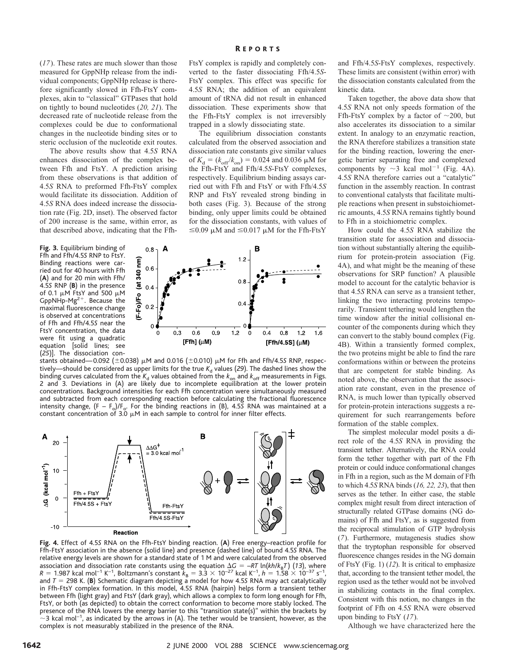(*17*). These rates are much slower than those measured for GppNHp release from the individual components; GppNHp release is therefore significantly slowed in Ffh-FtsY complexes, akin to "classical" GTPases that hold on tightly to bound nucleotides (*20, 21*). The decreased rate of nucleotide release from the complexes could be due to conformational changes in the nucleotide binding sites or to steric occlusion of the nucleotide exit routes.

The above results show that 4.5*S* RNA enhances dissociation of the complex between Ffh and FtsY. A prediction arising from these observations is that addition of 4.5*S* RNA to preformed Ffh-FtsY complex would facilitate its dissociation. Addition of 4.5*S* RNA does indeed increase the dissociation rate (Fig. 2D, inset). The observed factor of 200 increase is the same, within error, as that described above, indicating that the Ffh-

**Fig. 3.** Equilibrium binding of Ffh and Ffh/4.5*S* RNP to FtsY. Binding reactions were carried out for 40 hours with Ffh (**A**) and for 20 min with Ffh/ 4.5*S* RNP (**B**) in the presence of 0.1  $\mu$ M FtsY and 500  $\mu$ M GppNHp-Mg<sup>2+</sup>. Because the maximal fluorescence change is observed at concentrations of Ffh and Ffh/4.5*S* near the FtsY concentration, the data were fit using a quadratic equation [solid lines; see (*25*)]. The dissociation conFtsY complex is rapidly and completely converted to the faster dissociating Ffh/4.5*S*-FtsY complex. This effect was specific for 4.5*S* RNA; the addition of an equivalent amount of tRNA did not result in enhanced dissociation. These experiments show that the Ffh-FtsY complex is not irreversibly trapped in a slowly dissociating state.

The equilibrium dissociation constants calculated from the observed association and dissociation rate constants give similar values of  $K_{\rm d} = (k_{\rm off}/k_{\rm on}) = 0.024$  and 0.036  $\mu$ M for the Ffh-FtsY and Ffh/4.5*S*-FtsY complexes, respectively. Equilibrium binding assays carried out with Ffh and FtsY or with Ffh/4.5*S* RNP and FtsY revealed strong binding in both cases (Fig. 3). Because of the strong binding, only upper limits could be obtained for the dissociation constants, with values of  $\leq$ 0.09  $\mu$ M and  $\leq$ 0.017  $\mu$ M for the Ffh-FtsY



stants obtained—0.092 ( $\pm$ 0.038)  $\mu$ M and 0.016 ( $\pm$ 0.010)  $\mu$ M for Ffh and Ffh/4.55 RNP, respectively—should be considered as upper limits for the true  $K_d$  values (29). The dashed lines show the binding curves calculated from the  $K_d$  values obtained from the  $k_{on}$  and  $k_{off}$  measurements in Figs. 2 and 3. Deviations in (A) are likely due to incomplete equilibration at the lower protein concentrations. Background intensities for each Ffh concentration were simultaneously measured and subtracted from each corresponding reaction before calculating the fractional fluorescence intensity change, (F – F<sub>o</sub>)/F<sub>o</sub>. For the binding reactions in (B), 4.55 RNA was maintained at a<br>constant concentration of 3.0 μM in each sample to control for inner filter effects.



**Fig. 4.** Effect of 4.5*S* RNA on the Ffh-FtsY binding reaction. (**A**) Free energy–reaction profile for Ffh-FtsY association in the absence (solid line) and presence (dashed line) of bound 4.5*S* RNA. The relative energy levels are shown for a standard state of 1 M and were calculated from the observed association and dissociation rate constants using the equation  $\Delta G = -RT \ln(kh/k_BT)$  (13), where  $R = 1.987 \text{ kcal mol}^{-1}$  K<sup>-1</sup>, Boltzmann's constant  $k_B = 3.3 \times 10^{-27} \text{ kcal K}^{-1}$ ,  $h = 1.58 \times 10^{-37} \text{ s}^{-1}$ , and  $T = 298$  K. (**B**) Schematic diagram depicting a model for how 4.55 RNA may act catalytically in Ffh-FtsY complex formation. In this model, 4.5*S* RNA (hairpin) helps form a transient tether between Ffh (light gray) and FtsY (dark gray), which allows a complex to form long enough for Ffh, FtsY, or both (as depicted) to obtain the correct conformation to become more stably locked. The presence of the RNA lowers the energy barrier to this "transition state(s)" within the brackets by  $\sim$ 3 kcal mol $^{-1}$ , as indicated by the arrows in (A). The tether would be transient, however, as the complex is not measurably stabilized in the presence of the RNA.

and Ffh/4.5*S*-FtsY complexes, respectively. These limits are consistent (within error) with the dissociation constants calculated from the kinetic data.

Taken together, the above data show that 4.5*S* RNA not only speeds formation of the Ffh-FtsY complex by a factor of  $\sim$ 200, but also accelerates its dissociation to a similar extent. In analogy to an enzymatic reaction, the RNA therefore stabilizes a transition state for the binding reaction, lowering the energetic barrier separating free and complexed components by  $\sim$ 3 kcal mol<sup>-1</sup> (Fig. 4A). 4.5*S* RNA therefore carries out a "catalytic" function in the assembly reaction. In contrast to conventional catalysts that facilitate multiple reactions when present in substoichiometric amounts, 4.5*S* RNA remains tightly bound to Ffh in a stoichiometric complex.

How could the 4.5*S* RNA stabilize the transition state for association and dissociation without substantially altering the equilibrium for protein-protein association (Fig. 4A), and what might be the meaning of these observations for SRP function? A plausible model to account for the catalytic behavior is that 4.5*S* RNA can serve as a transient tether, linking the two interacting proteins temporarily. Transient tethering would lengthen the time window after the initial collisional encounter of the components during which they can convert to the stably bound complex (Fig. 4B). Within a transiently formed complex, the two proteins might be able to find the rare conformations within or between the proteins that are competent for stable binding. As noted above, the observation that the association rate constant, even in the presence of RNA, is much lower than typically observed for protein-protein interactions suggests a requirement for such rearrangements before formation of the stable complex.

The simplest molecular model posits a direct role of the 4.5*S* RNA in providing the transient tether. Alternatively, the RNA could form the tether together with part of the Ffh protein or could induce conformational changes in Ffh in a region, such as the M domain of Ffh to which 4.5*S* RNA binds (*16, 22, 23*), that then serves as the tether. In either case, the stable complex might result from direct interaction of structurally related GTPase domains (NG domains) of Ffh and FtsY, as is suggested from the reciprocal stimulation of GTP hydrolysis (*7*). Furthermore, mutagenesis studies show that the tryptophan responsible for observed fluorescence changes resides in the NG domain of FtsY (Fig. 1) (*12*). It is critical to emphasize that, according to the transient tether model, the region used as the tether would not be involved in stabilizing contacts in the final complex. Consistent with this notion, no changes in the footprint of Ffh on 4.5*S* RNA were observed upon binding to FtsY (*17*).

Although we have characterized here the